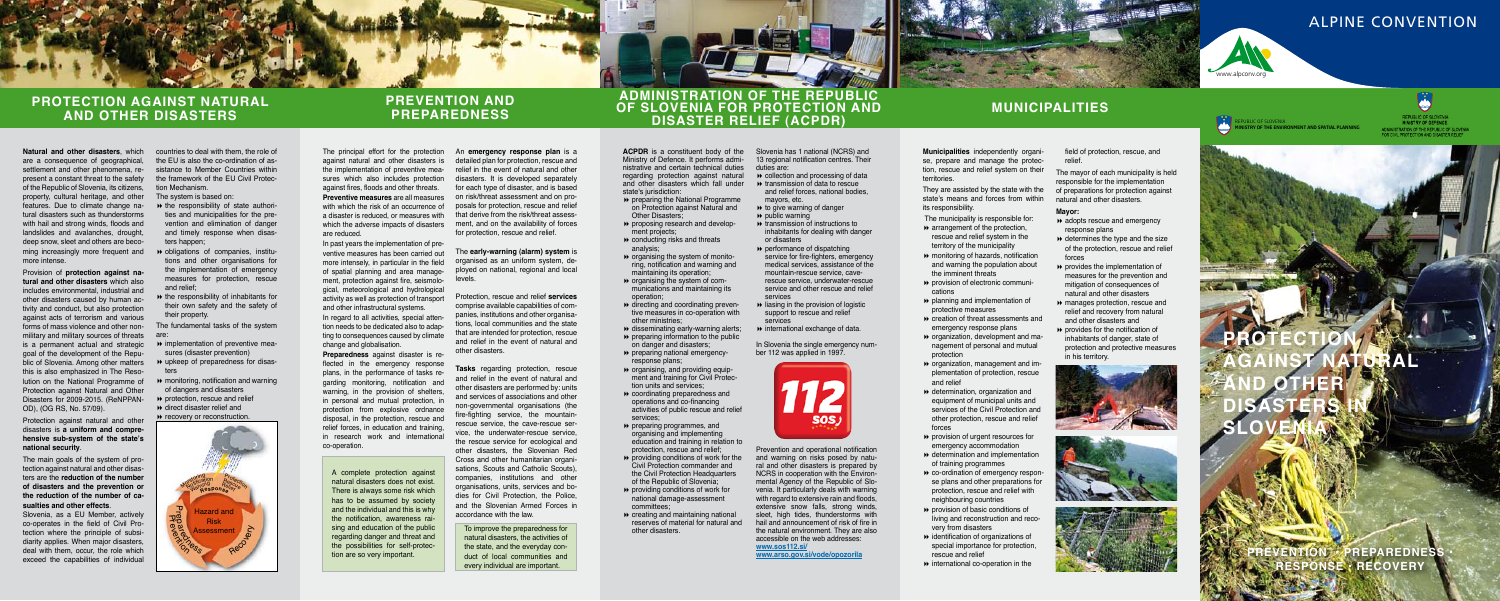

## Alpine Convention

## **PREVENTION AND PREPAREDNESS**

## **ADMINISTRATION OF THE REPUBLIC OF SLOVENIA FOR PROTECTION AND DISASTER RELIEF (ACPDR)**

**ACPDR** is a constituent body of the Ministry of Defence. It performs administrative and certain technical duties regarding protection against natural and other disasters which fall under state's jurisdiction:

## **MUNICIPALITIES**

# **PROTECTION AGAINST NATURAL AND OTHER DISASTERS IN SLOVENIA**

**ENTION • PREPAREDNESS SE • RECOVERY** 

- **PEDEDITION** preparing the National Programme on Protection against Natural and **Other Disasters**
- proposing research and development projects;
- conducting risks and threats analysis;
- $\rightarrow$  organising the system of monitoring, notification and warning and maintaining its operation;
- $\rightarrow$  organising the system of communications and maintaining its operation;
- $\rightarrow$  directing and coordinating preventive measures in co-operation with other ministries;
- $\rightarrow$  disseminating early-warning alerts; preparing information to the public
- on danger and disasters; **p** preparing national emergencyresponse plans;
- $\rightarrow$  organising, and providing equipment and training for Civil Protection units and services; coordinating preparedness and
- operations and co-financing activities of public rescue and relief services;
- **P** preparing programmes, and organising and implementing education and training in relation to protection, rescue and relief;
- $\rightarrow$  providing conditions of work for the Civil Protection commander and the Civil Protection Headquarters of the Republic of Slovenia;
- providing conditions of work for national damage-assessment committees;
- creating and maintaining national reserves of material for natural and other disasters.

Slovenia has 1 national (NCRS) and 13 regional notification centres. Their duties are:

- **EXECUTE:** Collection and processing of data
- **Exercise in the transmission of data to rescue** and relief forces, national bodies, mayors, etc.
- $\rightarrow$  to give warning of danger
- $\rightarrow$  public warning
- **EXECUTE:** Transmission of instructions to inhabitants for dealing with danger or disasters
- **p** performance of dispatching service for fire-fighters, emergency medical services, assistance of the mountain-rescue service, caverescue service, underwater-rescue service and other rescue and relief services
- $\rightarrow$  liasing in the provision of logistic support to rescue and relief services
- $\rightarrow$  international exchange of data.

In Slovenia the single emergency number 112 was applied in 1997.



- $\leftrightarrow$  adopts rescue and emergency response plans
- $\rightarrow$  determines the type and the size of the protection, rescue and relief forces
- **P** provides the implementation of measures for the prevention and mitigation of consequences of natural and other disasters
- manages protection, rescue and relief and recovery from natural and other disasters and
- **P** provides for the notification of inhabitants of danger, state of protection and protective measures in his territory.







Prevention and operational notification and warning on risks posed by natural and other disasters is prepared by NCRS in cooperation with the Environmental Agency of the Republic of Slovenia. It particularly deals with warning with regard to extensive rain and floods. extensive snow falls, strong winds, sleet, high tides, thunderstorms with hail and announcement of risk of fire in the natural environment. They are also accessible on the web addresses: **www.sos112.si/**

**www.arso.gov.si/vode/opozorila**



**Municipalities** independently organise, prepare and manage the protection, rescue and relief system on their territories.

They are assisted by the state with the state's means and forces from within its responsibility.

The municipality is responsible for:

- $\rightarrow$  arrangement of the protection. rescue and relief system in the territory of the municipality
- monitoring of hazards, notification and warning the population about the imminent threats
- provision of electronic communications
- planning and implementation of protective measures
- creation of threat assessments and emergency response plans
- organization, development and management of personal and mutual protection
- organization, management and implementation of protection, rescue and relief
- determination, organization and equipment of municipal units and services of the Civil Protection and other protection, rescue and relief forces
- provision of urgent resources for emergency accommodation
- determination and implementation of training programmes
- co-ordination of emergency response plans and other preparations for protection, rescue and relief with neighbouring countries
- **PEDITION** provision of basic conditions of living and reconstruction and recovery from disasters
- $\rightarrow$  identification of organizations of special importance for protection, rescue and relief
- $\rightarrow$  international co-operation in the

field of protection, rescue, and relief.

The mayor of each municipality is held responsible for the implementation of preparations for protection against natural and other disasters.

### **Mayor:**

Slovenia, as a FU Member, actively co-operates in the field of Civil Protection where the principle of subsidiarity applies. When major disasters, deal with them, occur, the role which exceed the capabilities of individual

- $\rightarrow$  the responsibility of state authorities and municipalities for the prevention and elimination of danger and timely response when disasters happen;
- obligations of companies, institutions and other organisations for the implementation of emergency measures for protection, rescue and relief;
- $\rightarrow$  the responsibility of inhabitants for their own safety and the safety of their property.

The principal effort for the protection against natural and other disasters is the implementation of preventive measures which also includes protection against fires, floods and other threats. **Preventive measures** are all measures on risk/threat assessment and on prowith which the risk of an occurrence of a disaster is reduced, or measures with which the adverse impacts of disasters are reduced.

In past years the implementation of preventive measures has been carried out more intensely, in particular in the field of spatial planning and area management, protection against fire, seismological, meteorological and hydrological activity as well as protection of transport and other infrastructural systems.

In regard to all activities, special attention needs to be dedicated also to adapting to consequences caused by climate change and globalisation.

**Preparedness** against disaster is reflected in the emergency response plans, in the performance of tasks regarding monitoring, notification and warning, in the provision of shelters, in personal and mutual protection, in protection from explosive ordnance disposal, in the protection, rescue and relief forces, in education and training, in research work and international co-operation.

An **emergency response plan** is a detailed plan for protection, rescue and relief in the event of natural and other disasters. It is developed separately for each type of disaster, and is based posals for protection, rescue and relief that derive from the risk/threat assessment, and on the availability of forces for protection, rescue and relief.

The **early-warning (alarm) system** is organised as an uniform system, deployed on national, regional and local levels.

Protection, rescue and relief **services** comprise available capabilities of companies, institutions and other organisations, local communities and the state that are intended for protection, rescue and relief in the event of natural and other disasters.

**Tasks** regarding protection, rescue and relief in the event of natural and other disasters are performed by: units and services of associations and other non-governmental organisations (the fire-fighting service, the mountainrescue service, the cave-rescue service, the underwater-rescue service, the rescue service for ecological and other disasters, the Slovenian Red Cross and other humanitarian organisations, Scouts and Catholic Scouts), companies, institutions and other organisations, units, services and bodies for Civil Protection, the Police, and the Slovenian Armed Forces in accordance with the law.

A complete protection against natural disasters does not exist. There is always some risk which has to be assumed by society and the individual and this is why the notification, awareness raising and education of the public regarding danger and threat and the possibilities for self-protection are so very important.

To improve the preparedness for natural disasters, the activities of the state, and the everyday conduct of local communities and every individual are important.



## **PROTECTION AGAINST NATURAL AND OTHER DISASTERS**

**Natural and other disasters**, which countries to deal with them, the role of are a consequence of geographical, settlement and other phenomena, represent a constant threat to the safety of the Republic of Slovenia, its citizens, property, cultural heritage, and other The system is based on: features. Due to climate change natural disasters such as thunderstorms with hail and strong winds, floods and landslides and avalanches, drought, deep snow, sleet and others are becoming increasingly more frequent and more intense.

Provision of **protection against natural and other disasters** which also includes environmental, industrial and other disasters caused by human activity and conduct, but also protection against acts of terrorism and various forms of mass violence and other nonmilitary and military sources of threats are: is a permanent actual and strategic  $\quad\blacktriangleright$  implementation of preventive meagoal of the development of the Republic of Slovenia. Among other matters this is also emphasized in The Resolution on the National Programme of Protection against Natural and Other Disasters for 2009-2015. (ReNPPAN-OD), (OG RS, No. 57/09).

Protection against natural and other disasters is **a uniform and comprehensive sub-system of the state's national security**.

The main goals of the system of protection against natural and other disasters are the **reduction of the number of disasters and the prevention or the reduction of the number of casualties and other effects**.

the EU is also the co-ordination of assistance to Member Countries within the framework of the EU Civil Protection Mechanism.

The fundamental tasks of the system

- sures (disaster prevention)
- upkeep of preparedness for disasters
- $\rightarrow$  monitoring, notification and warning of dangers and disasters
- **P** protection, rescue and relief direct disaster relief and

**P** recovery or reconstruction.

REPUBLIC OF SLOVENIA **MINISTRY OF THE ENVIRONMENT AND SPATIAL PLANNING**

REPUBLIC OF SLOVENIA MINISTRY OF DEFENCE ADMINISTRATION OF THE REPUBLIC OF SLOVENIA.<br>FOR CIVIL PROTECTION AND DISASTER RELIEF

**AN**